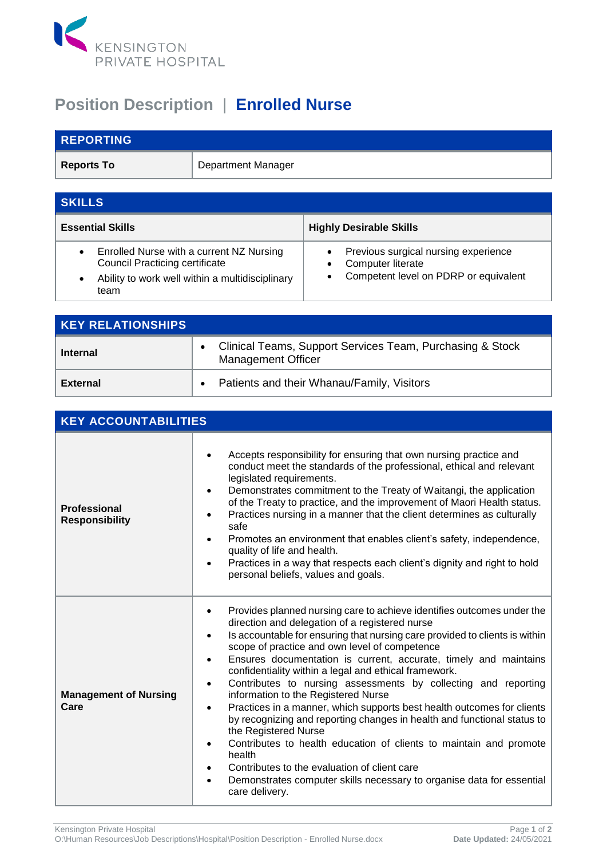

## **Position Description** | **Enrolled Nurse**

| <b>REPORTING</b>  |                           |
|-------------------|---------------------------|
| <b>Reports To</b> | <b>Department Manager</b> |

| <b>SKILLS</b>                                                                                                                                                          |                                                                                                           |  |  |
|------------------------------------------------------------------------------------------------------------------------------------------------------------------------|-----------------------------------------------------------------------------------------------------------|--|--|
| <b>Essential Skills</b>                                                                                                                                                | <b>Highly Desirable Skills</b>                                                                            |  |  |
| Enrolled Nurse with a current NZ Nursing<br>$\bullet$<br><b>Council Practicing certificate</b><br>Ability to work well within a multidisciplinary<br>$\bullet$<br>team | Previous surgical nursing experience<br><b>Computer literate</b><br>Competent level on PDRP or equivalent |  |  |

| <b>KEY RELATIONSHIPS</b> |                                                                                        |
|--------------------------|----------------------------------------------------------------------------------------|
| <b>Internal</b>          | Clinical Teams, Support Services Team, Purchasing & Stock<br><b>Management Officer</b> |
| <b>External</b>          | Patients and their Whanau/Family, Visitors                                             |

| <b>KEY ACCOUNTABILITIES</b>                  |                                                                                                                                                                                                                                                                                                                                                                                                                                                                                                                                                                                                                                                                                                                                                                                                                                                                                                                                                            |  |
|----------------------------------------------|------------------------------------------------------------------------------------------------------------------------------------------------------------------------------------------------------------------------------------------------------------------------------------------------------------------------------------------------------------------------------------------------------------------------------------------------------------------------------------------------------------------------------------------------------------------------------------------------------------------------------------------------------------------------------------------------------------------------------------------------------------------------------------------------------------------------------------------------------------------------------------------------------------------------------------------------------------|--|
| <b>Professional</b><br><b>Responsibility</b> | Accepts responsibility for ensuring that own nursing practice and<br>conduct meet the standards of the professional, ethical and relevant<br>legislated requirements.<br>Demonstrates commitment to the Treaty of Waitangi, the application<br>of the Treaty to practice, and the improvement of Maori Health status.<br>Practices nursing in a manner that the client determines as culturally<br>safe<br>Promotes an environment that enables client's safety, independence,<br>$\bullet$<br>quality of life and health.<br>Practices in a way that respects each client's dignity and right to hold<br>personal beliefs, values and goals.                                                                                                                                                                                                                                                                                                              |  |
| <b>Management of Nursing</b><br>Care         | Provides planned nursing care to achieve identifies outcomes under the<br>direction and delegation of a registered nurse<br>Is accountable for ensuring that nursing care provided to clients is within<br>$\bullet$<br>scope of practice and own level of competence<br>Ensures documentation is current, accurate, timely and maintains<br>confidentiality within a legal and ethical framework.<br>Contributes to nursing assessments by collecting and reporting<br>$\bullet$<br>information to the Registered Nurse<br>Practices in a manner, which supports best health outcomes for clients<br>$\bullet$<br>by recognizing and reporting changes in health and functional status to<br>the Registered Nurse<br>Contributes to health education of clients to maintain and promote<br>health<br>Contributes to the evaluation of client care<br>Demonstrates computer skills necessary to organise data for essential<br>$\bullet$<br>care delivery. |  |